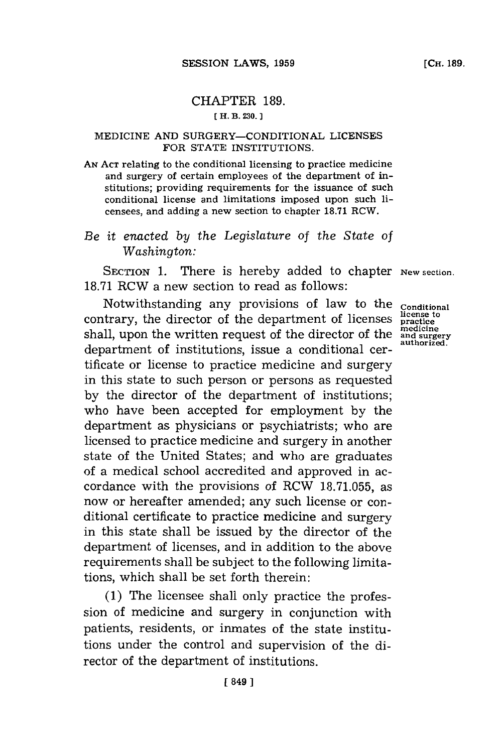## CHAPTER **189. ( H. B. 230.**

## MEDICINE **AND** SURGERY-CONDITIONAL **LICENSES** FOR **STATE** INSTITUTIONS.

**AN ACT** relating to the conditional licensing to practice medicine and surgery of certain employees of the department of institutions; providing requirements for the issuance of such conditional license and limitations imposed upon such licensees, and adding a new section to chapter **18.71** RCW.

*Be* it *enacted by the Legislature of the State of Washington:*

SECTION 1. There is hereby added to chapter New section. **18.71** RCW a new section to read as follows:

Notwithstanding any provisions of law to the **Conditional** contrary, the director of the department of licenses **practice** shall, upon the written request of the director of the **and surgery** and surgery department of institutions, issue a conditional certificate or license to practice medicine and surgery in this state to such person or persons as requested **by** the director of the department of institutions; who have been accepted for employment **by** the department as physicians or psychiatrists; who are licensed to practice medicine and surgery in another state of the United States; and who are graduates of a medical school accredited and approved in accordance with the provisions of RCW **18.71.055,** as now or hereafter amended; any such license or conditional certificate to practice medicine and surgery in this state shall be issued **by** the director of the department of licenses, and in addition to the above requirements shall be subject to the following limitations, which shall be set forth therein:

**(1)** The licensee shall only practice the profession of medicine and surgery in conjunction with patients, residents, or inmates of the state institutions under the control and supervision of the director of the department of institutions.

**medicine**